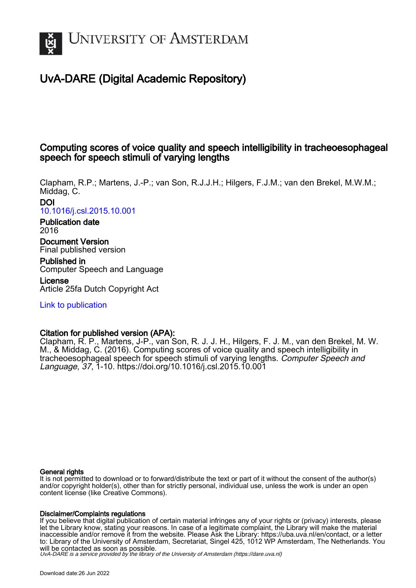

# UvA-DARE (Digital Academic Repository)

## Computing scores of voice quality and speech intelligibility in tracheoesophageal speech for speech stimuli of varying lengths

Clapham, R.P.; Martens, J.-P.; van Son, R.J.J.H.; Hilgers, F.J.M.; van den Brekel, M.W.M.; Middag, C.

DOI [10.1016/j.csl.2015.10.001](https://doi.org/10.1016/j.csl.2015.10.001)

Publication date 2016

Document Version Final published version

Published in Computer Speech and Language License

Article 25fa Dutch Copyright Act

[Link to publication](https://dare.uva.nl/personal/pure/en/publications/computing-scores-of-voice-quality-and-speech-intelligibility-in-tracheoesophageal-speech-for-speech-stimuli-of-varying-lengths(28c1a29e-efec-40d7-9fa9-d396964ef2fb).html)

## Citation for published version (APA):

Clapham, R. P., Martens, J-P., van Son, R. J. J. H., Hilgers, F. J. M., van den Brekel, M. W. M., & Middag, C. (2016). Computing scores of voice quality and speech intelligibility in tracheoesophageal speech for speech stimuli of varying lengths. Computer Speech and Language, 37, 1-10. <https://doi.org/10.1016/j.csl.2015.10.001>

### General rights

It is not permitted to download or to forward/distribute the text or part of it without the consent of the author(s) and/or copyright holder(s), other than for strictly personal, individual use, unless the work is under an open content license (like Creative Commons).

### Disclaimer/Complaints regulations

If you believe that digital publication of certain material infringes any of your rights or (privacy) interests, please let the Library know, stating your reasons. In case of a legitimate complaint, the Library will make the material inaccessible and/or remove it from the website. Please Ask the Library: https://uba.uva.nl/en/contact, or a letter to: Library of the University of Amsterdam, Secretariat, Singel 425, 1012 WP Amsterdam, The Netherlands. You will be contacted as soon as possible.

UvA-DARE is a service provided by the library of the University of Amsterdam (http*s*://dare.uva.nl)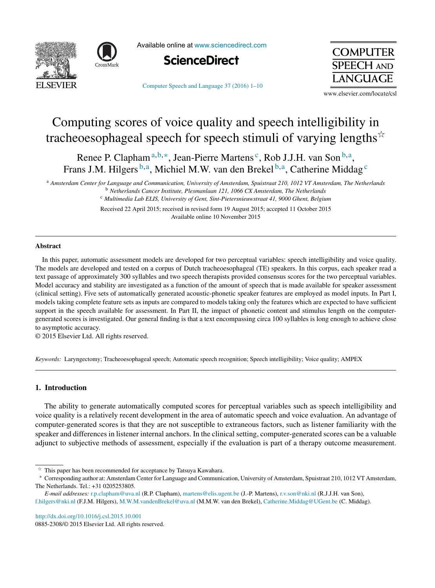



Available online at [www.sciencedirect.com](http://www.sciencedirect.com/science/journal/08852308)

[Computer](dx.doi.org/10.1016/j.csl.2015.10.001) Speech and Language 37 (2016) 1–10



**SPEECH AND ANGUAGE** 

www.elsevier.com/locate/csl

**COMPUTER** 

# Computing scores of voice quality and speech intelligibility in tracheoesophageal speech for speech stimuli of varying lengths $\dot{\tilde{}}$

Renee P. Clapham<sup>a,b,\*</sup>, Jean-Pierre Martens<sup>c</sup>, Rob J.J.H. van Son<sup>b,a</sup>, Frans J.M. Hilgers  $b,a$ , Michiel M.W. van den Brekel  $b,a$ , Catherine Middag  $c$ 

<sup>a</sup> Amsterdam Center for Language and Communication, University of Amsterdam, Spuistraat 210, 1012 VT Amsterdam, The Netherlands <sup>b</sup> *Netherlands Cancer Institute, Plesmanlaan 121, 1066 CX Amsterdam, The Netherlands*

<sup>c</sup> *Multimedia Lab ELIS, University of Gent, Sint-Pietersnieuwstraat 41, 9000 Ghent, Belgium*

Received 22 April 2015; received in revised form 19 August 2015; accepted 11 October 2015 Available online 10 November 2015

#### **Abstract**

In this paper, automatic assessment models are developed for two perceptual variables: speech intelligibility and voice quality. The models are developed and tested on a corpus of Dutch tracheoesophageal (TE) speakers. In this corpus, each speaker read a text passage of approximately 300 syllables and two speech therapists provided consensus scores for the two perceptual variables. Model accuracy and stability are investigated as a function of the amount of speech that is made available for speaker assessment (clinical setting). Five sets of automatically generated acoustic-phonetic speaker features are employed as model inputs. In Part I, models taking complete feature sets as inputs are compared to models taking only the features which are expected to have sufficient support in the speech available for assessment. In Part II, the impact of phonetic content and stimulus length on the computergenerated scores is investigated. Our general finding is that a text encompassing circa 100 syllables is long enough to achieve close to asymptotic accuracy.

© 2015 Elsevier Ltd. All rights reserved.

*Keywords:* Laryngectomy; Tracheoesophageal speech; Automatic speech recognition; Speech intelligibility; Voice quality; AMPEX

#### **1. Introduction**

The ability to generate automatically computed scores for perceptual variables such as speech intelligibility and voice quality is a relatively recent development in the area of automatic speech and voice evaluation. An advantage of computer-generated scores is that they are not susceptible to extraneous factors, such as listener familiarity with the speaker and differences in listener internal anchors. In the clinical setting, computer-generated scores can be a valuable adjunct to subjective methods of assessment, especially if the evaluation is part of a therapy outcome measurement.

[http://dx.doi.org/10.1016/j.csl.2015.10.001](dx.doi.org/10.1016/j.csl.2015.10.001) 0885-2308/© 2015 Elsevier Ltd. All rights reserved.

A, This paper has been recommended for acceptance by Tatsuya Kawahara.

<sup>∗</sup> Corresponding author at: Amsterdam Center for Language and Communication, University of Amsterdam, Spuistraat 210, 1012 VT Amsterdam, The Netherlands. Tel.: +31 0205253805.

*E-mail addresses:* [r.p.clapham@uva.nl](mailto:r.p.clapham@uva.nl) (R.P. Clapham), [martens@elis.ugent.be](mailto:martens@elis.ugent.be) (J.-P. Martens), [r.v.son@nki.nl](mailto:r.v.son@nki.nl) (R.J.J.H. van Son), [f.hilgers@nki.nl](mailto:f.hilgers@nki.nl) (F.J.M. Hilgers), [M.W.M.vandenBrekel@uva.nl](mailto:M.W.M.vandenBrekel@uva.nl) (M.M.W. van den Brekel), [Catherine.Middag@UGent.be](mailto:Catherine.Middag@UGent.be) (C. Middag).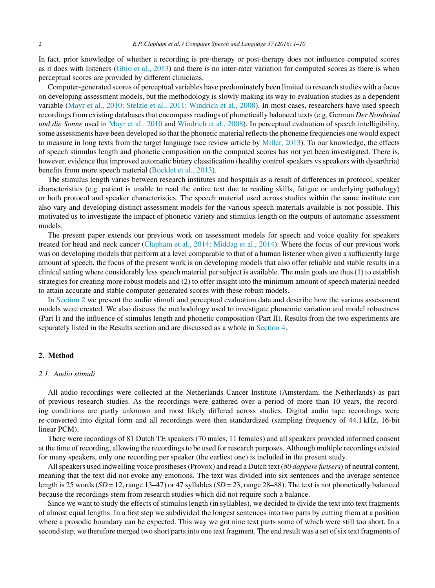<span id="page-2-0"></span>In fact, prior knowledge of whether a recording is pre-therapy or post-therapy does not influence computed scores as it does with listeners ([Ghio](#page-10-0) et [al.,](#page-10-0) [2013\)](#page-10-0) and there is no inter-rater variation for computed scores as there is when perceptual scores are provided by different clinicians.

Computer-generated scores of perceptual variables have predominately been limited to research studies with a focus on developing assessment models, but the methodology is slowly making its way to evaluation studies as a dependent variable [\(Mayr](#page-10-0) et [al.,](#page-10-0) [2010;](#page-10-0) [Stelzle](#page-10-0) et [al.,](#page-10-0) [2011;](#page-10-0) [Windrich](#page-10-0) et [al.,](#page-10-0) [2008\).](#page-10-0) In most cases, researchers have used speech recordings from existing databases that encompass readings of phonetically balanced texts (e.g. German *Der Nordwind und die Sonne* used in [Mayr](#page-10-0) et [al.,](#page-10-0) [2010](#page-10-0) and [Windrich](#page-10-0) et [al.,](#page-10-0) [2008\).](#page-10-0) In perceptual evaluation of speech intelligibility, some assessments have been developed so that the phonetic material reflects the phoneme frequencies one would expect to measure in long texts from the target language (see review article by [Miller,](#page-10-0) [2013\).](#page-10-0) To our knowledge, the effects of speech stimulus length and phonetic composition on the computed scores has not yet been investigated. There is, however, evidence that improved automatic binary classification (healthy control speakers vs speakers with dysarthria) benefits from more speech material ([Bocklet](#page-10-0) et [al.,](#page-10-0) [2013\).](#page-10-0)

The stimulus length varies between research institutes and hospitals as a result of differences in protocol, speaker characteristics (e.g. patient is unable to read the entire text due to reading skills, fatigue or underlying pathology) or both protocol and speaker characteristics. The speech material used across studies within the same institute can also vary and developing distinct assessment models for the various speech materials available is not possible. This motivated us to investigate the impact of phonetic variety and stimulus length on the outputs of automatic assessment models.

The present paper extends our previous work on assessment models for speech and voice quality for speakers treated for head and neck cancer [\(Clapham](#page-10-0) et [al.,](#page-10-0) [2014;](#page-10-0) [Middag](#page-10-0) et [al.,](#page-10-0) [2014\).](#page-10-0) Where the focus of our previous work was on developing models that perform at a level comparable to that of a human listener when given a sufficiently large amount of speech, the focus of the present work is on developing models that also offer reliable and stable results in a clinical setting where considerably less speech material per subject is available. The main goals are thus (1) to establish strategies for creating more robust models and (2) to offer insight into the minimum amount of speech material needed to attain accurate and stable computer-generated scores with these robust models.

In Section 2 we present the audio stimuli and perceptual evaluation data and describe how the various assessment models were created. We also discuss the methodology used to investigate phonemic variation and model robustness (Part I) and the influence of stimulus length and phonetic composition (Part II). Results from the two experiments are separately listed in the Results section and are discussed as a whole in [Section](#page-8-0) [4.](#page-8-0)

#### **2. Method**

#### *2.1. Audio stimuli*

All audio recordings were collected at the Netherlands Cancer Institute (Amsterdam, the Netherlands) as part of previous research studies. As the recordings were gathered over a period of more than 10 years, the recording conditions are partly unknown and most likely differed across studies. Digital audio tape recordings were re-converted into digital form and all recordings were then standardized (sampling frequency of 44.1 kHz, 16-bit linear PCM).

There were recordings of 81 Dutch TE speakers (70 males, 11 females) and all speakers provided informed consent at the time of recording, allowing the recordingsto be used for research purposes. Although multiple recordings existed for many speakers, only one recording per speaker (the earliest one) is included in the present study.

Allspeakers used indwelling voice prostheses(Provox) and read a Dutch text (*80 dappere fietsers*) of neutral content, meaning that the text did not evoke any emotions. The text was divided into six sentences and the average sentence length is 25 words (*SD* = 12, range 13–47) or 47 syllables (*SD* = 23, range 28–88). The text is not phonetically balanced because the recordings stem from research studies which did not require such a balance.

Since we want to study the effects of stimulus length (in syllables), we decided to divide the text into text fragments of almost equal lengths. In a first step we subdivided the longest sentences into two parts by cutting them at a position where a prosodic boundary can be expected. This way we got nine text parts some of which were still too short. In a second step, we therefore merged two short parts into one text fragment. The end result was a set of six text fragments of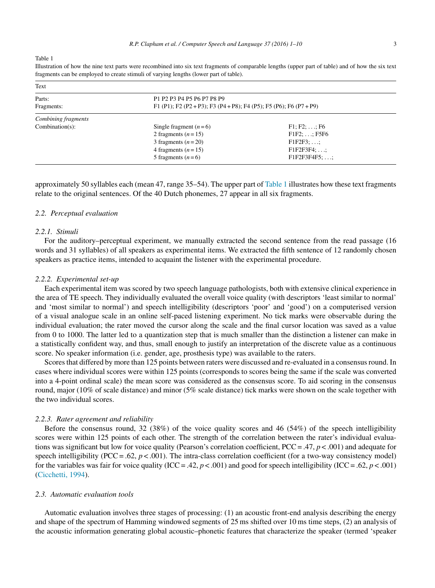<span id="page-3-0"></span>Table 1

Illustration of how the nine text parts were recombined into six text fragments of comparable lengths (upper part of table) and of how the six text fragments can be employed to create stimuli of varying lengths (lower part of table).

| Text                |                                                                     |                      |  |  |
|---------------------|---------------------------------------------------------------------|----------------------|--|--|
| Parts:              | P1 P2 P3 P4 P5 P6 P7 P8 P9                                          |                      |  |  |
| Fragments:          | F1 (P1); F2 (P2 + P3); F3 (P4 + P8); F4 (P5); F5 (P6); F6 (P7 + P9) |                      |  |  |
| Combining fragments |                                                                     |                      |  |  |
| $Combination(s)$ :  | Single fragment $(n=6)$                                             | $F1; F2; \ldots; F6$ |  |  |
|                     | 2 fragments $(n=15)$                                                | $F1F2; \ldots; F5F6$ |  |  |
|                     | 3 fragments $(n=20)$                                                | $F1F2F3; \ldots;$    |  |  |
|                     | 4 fragments $(n=15)$                                                | $F1F2F3F4$ ; ;       |  |  |
|                     | 5 fragments $(n=6)$                                                 | $F1F2F3F4F5$ ; ;     |  |  |

approximately 50 syllables each (mean 47, range 35–54). The upper part of Table 1 illustrates how these text fragments relate to the original sentences. Of the 40 Dutch phonemes, 27 appear in all six fragments.

#### *2.2. Perceptual evaluation*

#### *2.2.1. Stimuli*

For the auditory–perceptual experiment, we manually extracted the second sentence from the read passage (16 words and 31 syllables) of all speakers as experimental items. We extracted the fifth sentence of 12 randomly chosen speakers as practice items, intended to acquaint the listener with the experimental procedure.

#### *2.2.2. Experimental set-up*

Each experimental item was scored by two speech language pathologists, both with extensive clinical experience in the area of TE speech. They individually evaluated the overall voice quality (with descriptors 'least similar to normal' and 'most similar to normal') and speech intelligibility (descriptors 'poor' and 'good') on a computerised version of a visual analogue scale in an online self-paced listening experiment. No tick marks were observable during the individual evaluation; the rater moved the cursor along the scale and the final cursor location was saved as a value from 0 to 1000. The latter led to a quantization step that is much smaller than the distinction a listener can make in a statistically confident way, and thus, small enough to justify an interpretation of the discrete value as a continuous score. No speaker information (i.e. gender, age, prosthesis type) was available to the raters.

Scores that differed by more than 125 points between raters were discussed and re-evaluated in a consensus round. In cases where individual scores were within 125 points (corresponds to scores being the same if the scale was converted into a 4-point ordinal scale) the mean score was considered as the consensus score. To aid scoring in the consensus round, major (10% of scale distance) and minor (5% scale distance) tick marks were shown on the scale together with the two individual scores.

#### *2.2.3. Rater agreement and reliability*

Before the consensus round, 32 (38%) of the voice quality scores and 46 (54%) of the speech intelligibility scores were within 125 points of each other. The strength of the correlation between the rater's individual evaluations was significant but low for voice quality (Pearson's correlation coefficient, PCC= .47, *p* < .001) and adequate for speech intelligibility (PCC = .62,  $p < .001$ ). The intra-class correlation coefficient (for a two-way consistency model) for the variables was fair for voice quality (ICC = .42,  $p < .001$ ) and good for speech intelligibility (ICC = .62,  $p < .001$ ) [\(Cicchetti,](#page-10-0) [1994\).](#page-10-0)

#### *2.3. Automatic evaluation tools*

Automatic evaluation involves three stages of processing: (1) an acoustic front-end analysis describing the energy and shape of the spectrum of Hamming windowed segments of 25 ms shifted over 10 ms time steps, (2) an analysis of the acoustic information generating global acoustic–phonetic features that characterize the speaker (termed 'speaker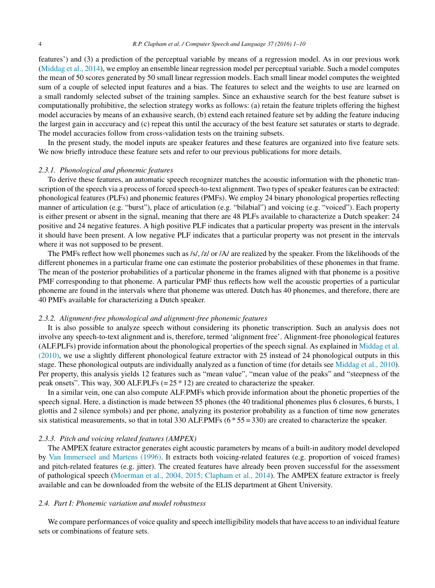features') and (3) a prediction of the perceptual variable by means of a regression model. As in our previous work ([Middag](#page-10-0) et [al.,](#page-10-0) [2014\),](#page-10-0) we employ an ensemble linear regression model per perceptual variable. Such a model computes the mean of 50 scores generated by 50 small linear regression models. Each small linear model computes the weighted sum of a couple of selected input features and a bias. The features to select and the weights to use are learned on a small randomly selected subset of the training samples. Since an exhaustive search for the best feature subset is computationally prohibitive, the selection strategy works as follows: (a) retain the feature triplets offering the highest model accuracies by means of an exhausive search, (b) extend each retained feature set by adding the feature inducing the largest gain in acccuracy and (c) repeat this until the accuracy of the best feature set saturates or starts to degrade. The model accuracies follow from cross-validation tests on the training subsets.

In the present study, the model inputs are speaker features and these features are organized into five feature sets. We now briefly introduce these feature sets and refer to our previous publications for more details.

#### *2.3.1. Phonological and phonemic features*

To derive these features, an automatic speech recognizer matches the acoustic information with the phonetic transcription of the speech via a process of forced speech-to-text alignment. Two types of speaker features can be extracted: phonological features (PLFs) and phonemic features (PMFs). We employ 24 binary phonological properties reflecting manner of articulation (e.g. "burst"), place of articulation (e.g. "bilabial") and voicing (e.g. "voiced"). Each property is either present or absent in the signal, meaning that there are 48 PLFs available to characterize a Dutch speaker: 24 positive and 24 negative features. A high positive PLF indicates that a particular property was present in the intervals it should have been present. A low negative PLF indicates that a particular property was not present in the intervals where it was not supposed to be present.

The PMFs reflect how well phonemes such as /s/, /z/ or /A/ are realized by the speaker. From the likelihoods of the different phonemes in a particular frame one can estimate the posterior probabilities of these phonemes in that frame. The mean of the posterior probabilities of a particular phoneme in the frames aligned with that phoneme is a positive PMF corresponding to that phoneme. A particular PMF thus reflects how well the acoustic properties of a particular phoneme are found in the intervals where that phoneme was uttered. Dutch has 40 phonemes, and therefore, there are 40 PMFs available for characterizing a Dutch speaker.

#### *2.3.2. Alignment-free phonological and alignment-free phonemic features*

It is also possible to analyze speech without considering its phonetic transcription. Such an analysis does not involve any speech-to-text alignment and is, therefore, termed 'alignment free'. Alignment-free phonological features (ALF.PLFs) provide information about the phonological properties of the speech signal. As explained in [Middag](#page-10-0) et [al.](#page-10-0) [\(2010\),](#page-10-0) we use a slightly different phonological feature extractor with 25 instead of 24 phonological outputs in this stage. These phonological outputs are individually analyzed as a function of time (for details see [Middag](#page-10-0) et [al.,](#page-10-0) [2010\).](#page-10-0) Per property, this analysis yields 12 features such as "mean value", "mean value of the peaks" and "steepness of the peak onsets". This way, 300 ALF. PLFs  $(= 25 * 12)$  are created to characterize the speaker.

In a similar vein, one can also compute ALF.PMFs which provide information about the phonetic properties of the speech signal. Here, a distinction is made between 55 phones (the 40 traditional phonemes plus 6 closures, 6 bursts, 1 glottis and 2 silence symbols) and per phone, analyzing its posterior probability as a function of time now generates six statistical measurements, so that in total 330 ALF.PMFs (6 \* 55 = 330) are created to characterize the speaker.

#### *2.3.3. Pitch and voicing related features (AMPEX)*

The AMPEX feature extractor generates eight acoustic parameters by means of a built-in auditory model developed by [Van](#page-10-0) [Immerseel](#page-10-0) [and](#page-10-0) [Martens](#page-10-0) [\(1996\).](#page-10-0) It extracts both voicing-related features (e.g. proportion of voiced frames) and pitch-related features (e.g. jitter). The created features have already been proven successful for the assessment of pathological speech [\(Moerman](#page-10-0) et [al.,](#page-10-0) [2004,](#page-10-0) [2015;](#page-10-0) [Clapham](#page-10-0) et [al.,](#page-10-0) [2014\).](#page-10-0) The AMPEX feature extractor is freely available and can be downloaded from the website of the ELIS department at Ghent University.

#### *2.4. Part I: Phonemic variation and model robustness*

We compare performances of voice quality and speech intelligibility models that have access to an individual feature sets or combinations of feature sets.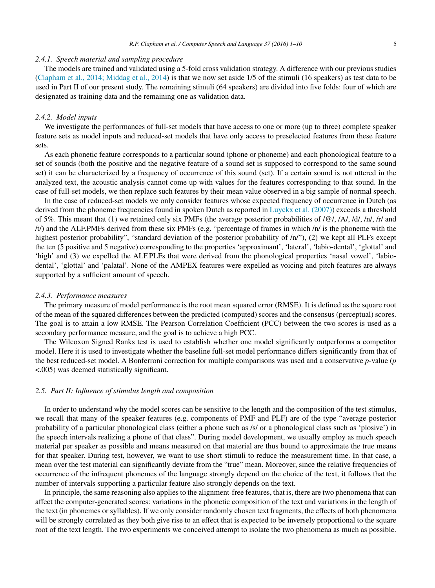#### *2.4.1. Speech material and sampling procedure*

The models are trained and validated using a 5-fold cross validation strategy. A difference with our previous studies [\(Clapham](#page-10-0) et [al.,](#page-10-0) [2014;](#page-10-0) [Middag](#page-10-0) et [al.,](#page-10-0) [2014\)](#page-10-0) is that we now set aside 1/5 of the stimuli (16 speakers) as test data to be used in Part II of our present study. The remaining stimuli (64 speakers) are divided into five folds: four of which are designated as training data and the remaining one as validation data.

#### *2.4.2. Model inputs*

We investigate the performances of full-set models that have access to one or more (up to three) complete speaker feature sets as model inputs and reduced-set models that have only access to preselected features from these feature sets.

As each phonetic feature corresponds to a particular sound (phone or phoneme) and each phonological feature to a set of sounds (both the positive and the negative feature of a sound set is supposed to correspond to the same sound set) it can be characterized by a frequency of occurrence of this sound (set). If a certain sound is not uttered in the analyzed text, the acoustic analysis cannot come up with values for the features corresponding to that sound. In the case of full-set models, we then replace such features by their mean value observed in a big sample of normal speech.

In the case of reduced-set models we only consider features whose expected frequency of occurrence in Dutch (as derived from the phoneme frequencies found in spoken Dutch as reported in [Luyckx](#page-10-0) et [al.](#page-10-0) [\(2007\)\)](#page-10-0) exceeds a threshold of 5%. This meant that (1) we retained only six PMFs (the average posterior probabilities of  $\left[$  \@/, /A/, /d/, /n/, /r/ and /t/) and the ALF.PMFs derived from these six PMFs (e.g. "percentage of frames in which /n/ is the phoneme with the highest posterior probability", "standard deviation of the posterior probability of  $/n''$ ), (2) we kept all PLFs except the ten (5 positive and 5 negative) corresponding to the properties 'approximant', 'lateral', 'labio-dental', 'glottal' and 'high' and (3) we expelled the ALF.PLFs that were derived from the phonological properties 'nasal vowel', 'labiodental', 'glottal' and 'palatal'. None of the AMPEX features were expelled as voicing and pitch features are always supported by a sufficient amount of speech.

#### *2.4.3. Performance measures*

The primary measure of model performance is the root mean squared error (RMSE). It is defined as the square root of the mean of the squared differences between the predicted (computed) scores and the consensus (perceptual) scores. The goal is to attain a low RMSE. The Pearson Correlation Coefficient (PCC) between the two scores is used as a secondary performance measure, and the goal is to achieve a high PCC.

The Wilcoxon Signed Ranks test is used to establish whether one model significantly outperforms a competitor model. Here it is used to investigate whether the baseline full-set model performance differs significantly from that of the best reduced-set model. A Bonferroni correction for multiple comparisons was used and a conservative *p*-value (*p* <.005) was deemed statistically significant.

#### *2.5. Part II: Influence of stimulus length and composition*

In order to understand why the model scores can be sensitive to the length and the composition of the test stimulus, we recall that many of the speaker features (e.g. components of PMF and PLF) are of the type "average posterior probability of a particular phonological class (either a phone such as /s/ or a phonological class such as 'plosive') in the speech intervals realizing a phone of that class". During model development, we usually employ as much speech material per speaker as possible and means measured on that material are thus bound to approximate the true means for that speaker. During test, however, we want to use short stimuli to reduce the measurement time. In that case, a mean over the test material can significantly deviate from the "true" mean. Moreover, since the relative frequencies of occurrence of the infrequent phonemes of the language strongly depend on the choice of the text, it follows that the number of intervals supporting a particular feature also strongly depends on the text.

In principle, the same reasoning also applies to the alignment-free features, that is, there are two phenomena that can affect the computer-generated scores: variations in the phonetic composition of the text and variations in the length of the text (in phonemes or syllables). If we only consider randomly chosen text fragments, the effects of both phenomena will be strongly correlated as they both give rise to an effect that is expected to be inversely proportional to the square root of the text length. The two experiments we conceived attempt to isolate the two phenomena as much as possible.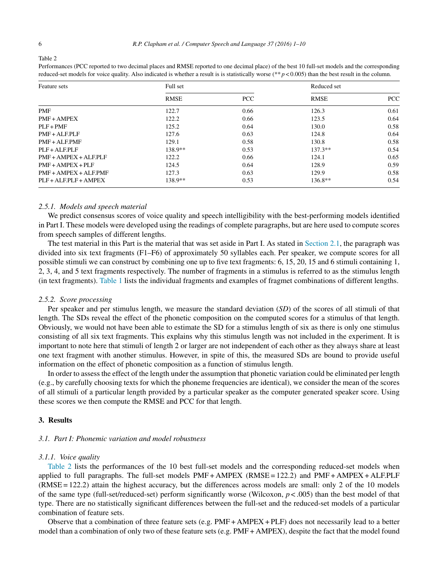<span id="page-6-0"></span>Table 2

| Feature sets              | Full set    |      | Reduced set |            |
|---------------------------|-------------|------|-------------|------------|
|                           | <b>RMSE</b> | PCC  | <b>RMSE</b> | <b>PCC</b> |
| <b>PMF</b>                | 122.7       | 0.66 | 126.3       | 0.61       |
| <b>PMF + AMPEX</b>        | 122.2       | 0.66 | 123.5       | 0.64       |
| $PI.F + PMF$              | 125.2       | 0.64 | 130.0       | 0.58       |
| $PMF + ALF. PLF$          | 127.6       | 0.63 | 124.8       | 0.64       |
| $PMF + ALFPMF$            | 129.1       | 0.58 | 130.8       | 0.58       |
| $PI.F + ALEPI.F$          | 138.9**     | 0.53 | $137.3**$   | 0.54       |
| $PMF + AMPEX + ALFPLF$    | 122.2       | 0.66 | 124.1       | 0.65       |
| $PMF + AMPEX + PLF$       | 124.5       | 0.64 | 128.9       | 0.59       |
| $PMF + AMPEX + ALF.PMF$   | 127.3       | 0.63 | 129.9       | 0.58       |
| $PI.F + AI.FPI.F + AMPEX$ | 138.9**     | 0.53 | $136.8**$   | 0.54       |

Performances (PCC reported to two decimal places and RMSE reported to one decimal place) of the best 10 full-set models and the corresponding reduced-set models for voice quality. Also indicated is whether a result is is statistically worse (\*\* *p* < 0.005) than the best result in the column.

#### *2.5.1. Models and speech material*

We predict consensus scores of voice quality and speech intelligibility with the best-performing models identified in Part I. These models were developed using the readings of complete paragraphs, but are here used to compute scores from speech samples of different lengths.

The test material in this Part is the material that was set aside in Part I. As stated in [Section](#page-2-0) [2.1,](#page-2-0) the paragraph was divided into six text fragments (F1–F6) of approximately 50 syllables each. Per speaker, we compute scores for all possible stimuli we can construct by combining one up to five text fragments: 6, 15, 20, 15 and 6 stimuli containing 1, 2, 3, 4, and 5 text fragments respectively. The number of fragments in a stimulus is referred to as the stimulus length (in text fragments). [Table](#page-3-0) 1 lists the individual fragments and examples of fragmet combinations of different lengths.

#### *2.5.2. Score processing*

Per speaker and per stimulus length, we measure the standard deviation (*SD*) of the scores of all stimuli of that length. The SDs reveal the effect of the phonetic composition on the computed scores for a stimulus of that length. Obviously, we would not have been able to estimate the SD for a stimulus length of six as there is only one stimulus consisting of all six text fragments. This explains why this stimulus length was not included in the experiment. It is important to note here that stimuli of length 2 or larger are not independent of each other as they always share at least one text fragment with another stimulus. However, in spite of this, the measured SDs are bound to provide useful information on the effect of phonetic composition as a function of stimulus length.

In order to assess the effect of the length under the assumption that phonetic variation could be eliminated per length (e.g., by carefully choosing texts for which the phoneme frequencies are identical), we consider the mean of the scores of all stimuli of a particular length provided by a particular speaker as the computer generated speaker score. Using these scores we then compute the RMSE and PCC for that length.

#### **3. Results**

#### *3.1. Part I: Phonemic variation and model robustness*

#### *3.1.1. Voice quality*

Table 2 lists the performances of the 10 best full-set models and the corresponding reduced-set models when applied to full paragraphs. The full-set models  $PMF + AMPEX$  ( $RMSE = 122.2$ ) and  $PMF + AMPEX + ALF.PLF$ (RMSE = 122.2) attain the highest accuracy, but the differences across models are small: only 2 of the 10 models of the same type (full-set/reduced-set) perform significantly worse (Wilcoxon,  $p < .005$ ) than the best model of that type. There are no statistically significant differences between the full-set and the reduced-set models of a particular combination of feature sets.

Observe that a combination of three feature sets (e.g. PMF + AMPEX + PLF) does not necessarily lead to a better model than a combination of only two of these feature sets (e.g. PMF + AMPEX), despite the fact that the model found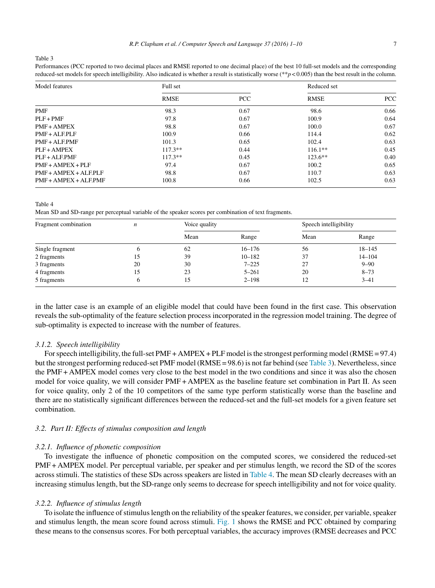<span id="page-7-0"></span>Table 3

Performances (PCC reported to two decimal places and RMSE reported to one decimal place) of the best 10 full-set models and the corresponding reduced-set models for speech intelligibility. Also indicated is whether a result is statistically worse (\*\**p* < 0.005) than the best result in the column.

| Model features          | Full set    |            | Reduced set |      |
|-------------------------|-------------|------------|-------------|------|
|                         | <b>RMSE</b> | <b>PCC</b> | <b>RMSE</b> | PCC  |
| <b>PMF</b>              | 98.3        | 0.67       | 98.6        | 0.66 |
| $PI.F + PMF$            | 97.8        | 0.67       | 100.9       | 0.64 |
| $PMF + AMPEX$           | 98.8        | 0.67       | 100.0       | 0.67 |
| $PMF + ALF.$ PL $F$     | 100.9       | 0.66       | 114.4       | 0.62 |
| $PMF + ALF.PMF$         | 101.3       | 0.65       | 102.4       | 0.63 |
| $PI.F + AMPEX$          | $117.3**$   | 0.44       | $116.1**$   | 0.45 |
| $PI.F + AI.F.PMF$       | $117.3**$   | 0.45       | $123.6**$   | 0.40 |
| $PMF + AMPEX + PLF$     | 97.4        | 0.67       | 100.2       | 0.65 |
| $PMF + AMPEX + ALF.$    | 98.8        | 0.67       | 110.7       | 0.63 |
| $PMF + AMPEX + ALF.PMF$ | 100.8       | 0.66       | 102.5       | 0.63 |

Table 4

Mean SD and SD-range per perceptual variable of the speaker scores per combination of text fragments.

| Fragment combination | n  | Voice quality |            |      | Speech intelligibility |  |
|----------------------|----|---------------|------------|------|------------------------|--|
|                      |    | Mean          | Range      | Mean | Range                  |  |
| Single fragment      | n  | 62            | $16 - 176$ | 56   | $18 - 145$             |  |
| 2 fragments          | 15 | 39            | $10 - 182$ | 37   | $14 - 104$             |  |
| 3 fragments          | 20 | 30            | $7 - 225$  | 27   | $9 - 90$               |  |
| 4 fragments          | 15 | 23            | $5 - 261$  | 20   | $8 - 73$               |  |
| 5 fragments          |    | 15            | $2 - 198$  | 12   | $3 - 41$               |  |

in the latter case is an example of an eligible model that could have been found in the first case. This observation reveals the sub-optimality of the feature selection process incorporated in the regression model training. The degree of sub-optimality is expected to increase with the number of features.

#### *3.1.2. Speech intelligibility*

For speech intelligibility, the full-set  $PMF + AMPEX + PLF$  model is the strongest performing model (RMSE = 97.4) but the strongest performing reduced-set PMF model (RMSE = 98.6) is not far behind (see Table 3). Nevertheless, since the PMF + AMPEX model comes very close to the best model in the two conditions and since it was also the chosen model for voice quality, we will consider PMF + AMPEX as the baseline feature set combination in Part II. As seen for voice quality, only 2 of the 10 competitors of the same type perform statistically worse than the baseline and there are no statistically significant differences between the reduced-set and the full-set models for a given feature set combination.

#### *3.2. Part II: Effects of stimulus composition and length*

#### *3.2.1. Influence of phonetic composition*

To investigate the influence of phonetic composition on the computed scores, we considered the reduced-set PMF + AMPEX model. Per perceptual variable, per speaker and per stimulus length, we record the SD of the scores across stimuli. The statistics of these SDs across speakers are listed in Table 4. The mean SD clearly decreases with an increasing stimulus length, but the SD-range only seems to decrease for speech intelligibility and not for voice quality.

#### *3.2.2. Influence of stimulus length*

To isolate the influence of stimulus length on the reliability of the speaker features, we consider, per variable, speaker and stimulus length, the mean score found across stimuli. [Fig.](#page-8-0) 1 shows the RMSE and PCC obtained by comparing these means to the consensus scores. For both perceptual variables, the accuracy improves (RMSE decreases and PCC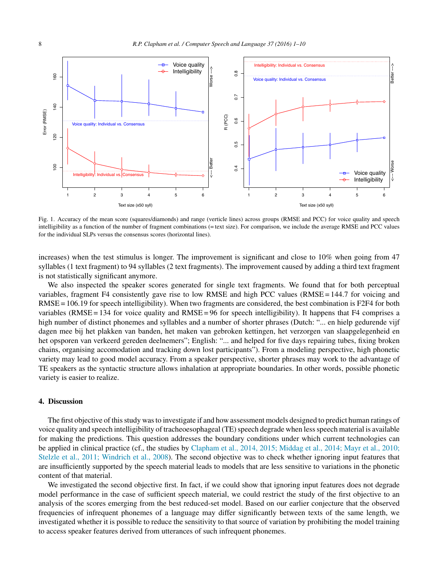<span id="page-8-0"></span>

Fig. 1. Accuracy of the mean score (squares/diamonds) and range (verticle lines) across groups (RMSE and PCC) for voice quality and speech intelligibility as a function of the number of fragment combinations (= text size). For comparison, we include the average RMSE and PCC values for the individual SLPs versus the consensus scores (horizontal lines).

increases) when the test stimulus is longer. The improvement is significant and close to 10% when going from 47 syllables (1 text fragment) to 94 syllables (2 text fragments). The improvement caused by adding a third text fragment is not statistically significant anymore.

We also inspected the speaker scores generated for single text fragments. We found that for both perceptual variables, fragment F4 consistently gave rise to low RMSE and high PCC values (RMSE = 144.7 for voicing and  $RMSE = 106.19$  for speech intelligibility). When two fragments are considered, the best combination is  $F2F4$  for both variables (RMSE = 134 for voice quality and  $RMSE = 96$  for speech intelligibility). It happens that F4 comprises a high number of distinct phonemes and syllables and a number of shorter phrases (Dutch: "... en hielp gedurende vijf dagen mee bij het plakken van banden, het maken van gebroken kettingen, het verzorgen van slaapgelegenheid en het opsporen van verkeerd gereden deelnemers"; English: "... and helped for five days repairing tubes, fixing broken chains, organising accomodation and tracking down lost participants"). From a modeling perspective, high phonetic variety may lead to good model accuracy. From a speaker perspective, shorter phrases may work to the advantage of TE speakers as the syntactic structure allows inhalation at appropriate boundaries. In other words, possible phonetic variety is easier to realize.

#### **4. Discussion**

The first objective of thisstudy wasto investigate if and how assessment models designed to predict human ratings of voice quality and speech intelligibility of tracheoesophageal (TE) speech degrade when less speech material is available for making the predictions. This question addresses the boundary conditions under which current technologies can be applied in clinical practice (cf., the studies by [Clapham](#page-10-0) et [al.,](#page-10-0) [2014,](#page-10-0) [2015;](#page-10-0) [Middag](#page-10-0) et [al.,](#page-10-0) [2014;](#page-10-0) [Mayr](#page-10-0) et [al.,](#page-10-0) [2010;](#page-10-0) [Stelzle](#page-10-0) et [al.,](#page-10-0) [2011;](#page-10-0) [Windrich](#page-10-0) et [al.,](#page-10-0) [2008\).](#page-10-0) The second objective was to check whether ignoring input features that are insufficiently supported by the speech material leads to models that are less sensitive to variations in the phonetic content of that material.

We investigated the second objective first. In fact, if we could show that ignoring input features does not degrade model performance in the case of sufficient speech material, we could restrict the study of the first objective to an analysis of the scores emerging from the best reduced-set model. Based on our earlier conjecture that the observed frequencies of infrequent phonemes of a language may differ significantly between texts of the same length, we investigated whether it is possible to reduce the sensitivity to that source of variation by prohibiting the model training to access speaker features derived from utterances of such infrequent phonemes.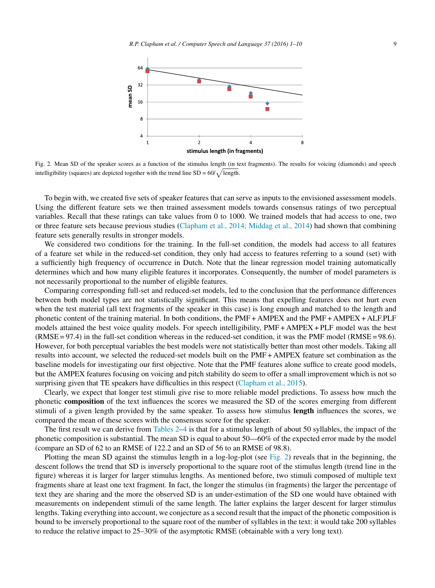

Fig. 2. Mean SD of the speaker scores as a function of the stimulus length (in text fragments). The results for voicing (diamonds) and speech intelligibility (squares) are depicted together with the trend line  $SD = 60/\sqrt{\text{length}}$ .

To begin with, we created five sets of speaker features that can serve as inputs to the envisioned assessment models. Using the different feature sets we then trained assessment models towards consensus ratings of two perceptual variables. Recall that these ratings can take values from 0 to 1000. We trained models that had access to one, two or three feature sets because previous studies ([Clapham](#page-10-0) et [al.,](#page-10-0) [2014;](#page-10-0) [Middag](#page-10-0) et [al.,](#page-10-0) [2014\)](#page-10-0) had shown that combining feature sets generally results in stronger models.

We considered two conditions for the training. In the full-set condition, the models had access to all features of a feature set while in the reduced-set condition, they only had access to features referring to a sound (set) with a sufficiently high frequency of occurrence in Dutch. Note that the linear regression model training automatically determines which and how many eligible features it incorporates. Consequently, the number of model parameters is not necessarily proportional to the number of eligible features.

Comparing corresponding full-set and reduced-set models, led to the conclusion that the performance differences between both model types are not statistically significant. This means that expelling features does not hurt even when the test material (all text fragments of the speaker in this case) is long enough and matched to the length and phonetic content of the training material. In both conditions, the PMF + AMPEX and the PMF + AMPEX + ALF.PLF models attained the best voice quality models. For speech intelligibility, PMF + AMPEX + PLF model was the best (RMSE = 97.4) in the full-set condition whereas in the reduced-set condition, it was the PMF model (RMSE = 98.6). However, for both perceptual variables the best models were not statistically better than most other models. Taking all results into account, we selected the reduced-set models built on the PMF + AMPEX feature set combination as the baseline models for investigating our first objective. Note that the PMF features alone suffice to create good models, but the AMPEX features focusing on voicing and pitch stability do seem to offer a small improvement which is not so surprising given that TE speakers have difficulties in this respect [\(Clapham](#page-10-0) et [al.,](#page-10-0) [2015\).](#page-10-0)

Clearly, we expect that longer test stimuli give rise to more reliable model predictions. To assess how much the phonetic **composition** of the text influences the scores we measured the SD of the scores emerging from different stimuli of a given length provided by the same speaker. To assess how stimulus **length** influences the scores, we compared the mean of these scores with the consensus score for the speaker.

The first result we can derive from [Tables](#page-6-0) 2–[4](#page-7-0) is that for a stimulus length of about 50 syllables, the impact of the phonetic composition is substantial. The mean SD is equal to about 50—60% of the expected error made by the model (compare an SD of 62 to an RMSE of 122.2 and an SD of 56 to an RMSE of 98.8).

Plotting the mean SD against the stimulus length in a log-log-plot (see Fig. 2) reveals that in the beginning, the descent follows the trend that SD is inversely proportional to the square root of the stimulus length (trend line in the figure) whereas it is larger for larger stimulus lengths. As mentioned before, two stimuli composed of multiple text fragments share at least one text fragment. In fact, the longer the stimulus (in fragments) the larger the percentage of text they are sharing and the more the observed SD is an under-estimation of the SD one would have obtained with measurements on independent stimuli of the same length. The latter explains the larger descent for larger stimulus lengths. Taking everything into account, we conjecture as a second result that the impact of the phonetic composition is bound to be inversely proportional to the square root of the number of syllables in the text: it would take 200 syllables to reduce the relative impact to 25–30% of the asymptotic RMSE (obtainable with a very long text).